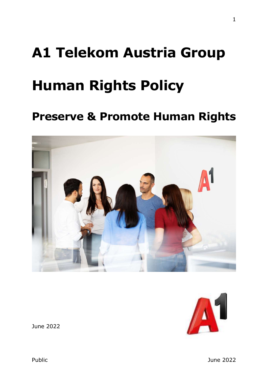# A1 Telekom Austria Group

# Human Rights Policy

# Preserve & Promote Human Rights





June 2022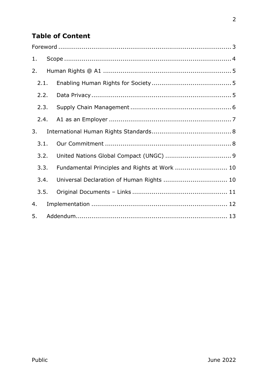# **Table of Content**

| 1.   |  |                                               |  |
|------|--|-----------------------------------------------|--|
| 2.   |  |                                               |  |
| 2.1. |  |                                               |  |
| 2.2. |  |                                               |  |
| 2.3. |  |                                               |  |
| 2.4. |  |                                               |  |
| 3.   |  |                                               |  |
| 3.1. |  |                                               |  |
| 3.2. |  |                                               |  |
| 3.3. |  | Fundamental Principles and Rights at Work  10 |  |
| 3.4. |  | Universal Declaration of Human Rights  10     |  |
| 3.5. |  |                                               |  |
| 4.   |  |                                               |  |
| 5.   |  |                                               |  |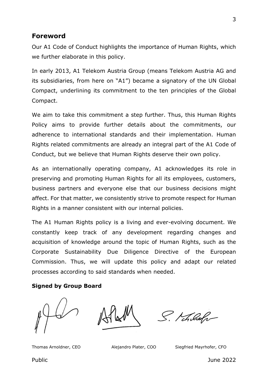#### Foreword

Our A1 Code of Conduct highlights the importance of Human Rights, which we further elaborate in this policy.

In early 2013, A1 Telekom Austria Group (means Telekom Austria AG and its subsidiaries, from here on "A1") became a signatory of the UN Global Compact, underlining its commitment to the ten principles of the Global Compact.

We aim to take this commitment a step further. Thus, this Human Rights Policy aims to provide further details about the commitments, our adherence to international standards and their implementation. Human Rights related commitments are already an integral part of the A1 Code of Conduct, but we believe that Human Rights deserve their own policy.

As an internationally operating company, A1 acknowledges its role in preserving and promoting Human Rights for all its employees, customers, business partners and everyone else that our business decisions might affect. For that matter, we consistently strive to promote respect for Human Rights in a manner consistent with our internal policies.

The A1 Human Rights policy is a living and ever-evolving document. We constantly keep track of any development regarding changes and acquisition of knowledge around the topic of Human Rights, such as the Corporate Sustainability Due Diligence Directive of the European Commission. Thus, we will update this policy and adapt our related processes according to said standards when needed.

#### Signed by Group Board

S. Khulohr

Thomas Arnoldner, CEO Alejandro Plater, COO Siegfried Mayrhofer, CFO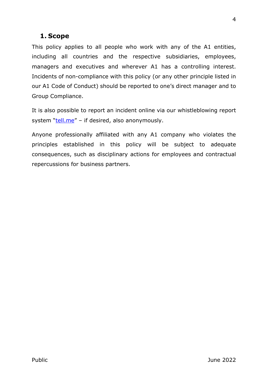# 1. Scope

This policy applies to all people who work with any of the A1 entities, including all countries and the respective subsidiaries, employees, managers and executives and wherever A1 has a controlling interest. Incidents of non-compliance with this policy (or any other principle listed in our A1 Code of Conduct) should be reported to one's direct manager and to Group Compliance.

It is also possible to report an incident online via our whistleblowing report system "tell.me" – if desired, also anonymously.

Anyone professionally affiliated with any A1 company who violates the principles established in this policy will be subject to adequate consequences, such as disciplinary actions for employees and contractual repercussions for business partners.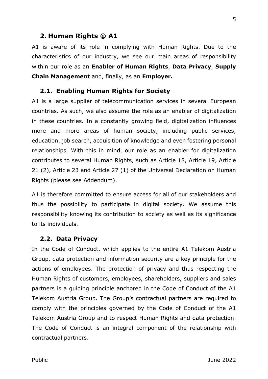#### 2. Human Rights @ A1

A1 is aware of its role in complying with Human Rights. Due to the characteristics of our industry, we see our main areas of responsibility within our role as an Enabler of Human Rights, Data Privacy, Supply Chain Management and, finally, as an Employer.

#### 2.1. Enabling Human Rights for Society

A1 is a large supplier of telecommunication services in several European countries. As such, we also assume the role as an enabler of digitalization in these countries. In a constantly growing field, digitalization influences more and more areas of human society, including public services, education, job search, acquisition of knowledge and even fostering personal relationships. With this in mind, our role as an enabler for digitalization contributes to several Human Rights, such as Article 18, Article 19, Article 21 (2), Article 23 and Article 27 (1) of the Universal Declaration on Human Rights (please see Addendum).

A1 is therefore committed to ensure access for all of our stakeholders and thus the possibility to participate in digital society. We assume this responsibility knowing its contribution to society as well as its significance to its individuals.

#### 2.2. Data Privacy

In the Code of Conduct, which applies to the entire A1 Telekom Austria Group, data protection and information security are a key principle for the actions of employees. The protection of privacy and thus respecting the Human Rights of customers, employees, shareholders, suppliers and sales partners is a guiding principle anchored in the Code of Conduct of the A1 Telekom Austria Group. The Group's contractual partners are required to comply with the principles governed by the Code of Conduct of the A1 Telekom Austria Group and to respect Human Rights and data protection. The Code of Conduct is an integral component of the relationship with contractual partners.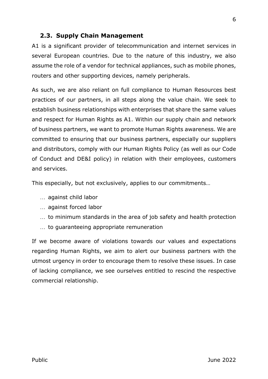#### 2.3. Supply Chain Management

A1 is a significant provider of telecommunication and internet services in several European countries. Due to the nature of this industry, we also assume the role of a vendor for technical appliances, such as mobile phones, routers and other supporting devices, namely peripherals.

As such, we are also reliant on full compliance to Human Resources best practices of our partners, in all steps along the value chain. We seek to establish business relationships with enterprises that share the same values and respect for Human Rights as A1. Within our supply chain and network of business partners, we want to promote Human Rights awareness. We are committed to ensuring that our business partners, especially our suppliers and distributors, comply with our Human Rights Policy (as well as our Code of Conduct and DE&I policy) in relation with their employees, customers and services.

This especially, but not exclusively, applies to our commitments…

- against child labor
- against forced labor
- ... to minimum standards in the area of job safety and health protection
- ... to quaranteeing appropriate remuneration

If we become aware of violations towards our values and expectations regarding Human Rights, we aim to alert our business partners with the utmost urgency in order to encourage them to resolve these issues. In case of lacking compliance, we see ourselves entitled to rescind the respective commercial relationship.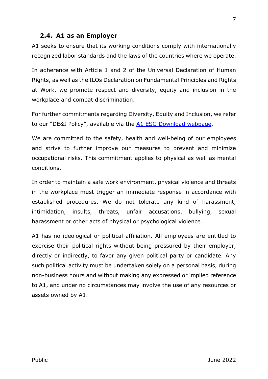#### 2.4. A1 as an Employer

A1 seeks to ensure that its working conditions comply with internationally recognized labor standards and the laws of the countries where we operate.

In adherence with Article 1 and 2 of the Universal Declaration of Human Rights, as well as the ILOs Declaration on Fundamental Principles and Rights at Work, we promote respect and diversity, equity and inclusion in the workplace and combat discrimination.

For further commitments regarding Diversity, Equity and Inclusion, we refer to our "DE&I Policy", available via the A1 ESG Download webpage.

We are committed to the safety, health and well-being of our employees and strive to further improve our measures to prevent and minimize occupational risks. This commitment applies to physical as well as mental conditions.

In order to maintain a safe work environment, physical violence and threats in the workplace must trigger an immediate response in accordance with established procedures. We do not tolerate any kind of harassment, intimidation, insults, threats, unfair accusations, bullying, sexual harassment or other acts of physical or psychological violence.

A1 has no ideological or political affiliation. All employees are entitled to exercise their political rights without being pressured by their employer, directly or indirectly, to favor any given political party or candidate. Any such political activity must be undertaken solely on a personal basis, during non-business hours and without making any expressed or implied reference to A1, and under no circumstances may involve the use of any resources or assets owned by A1.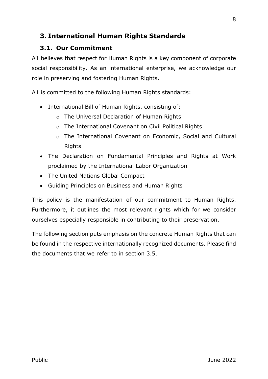# 3. International Human Rights Standards

# 3.1. Our Commitment

A1 believes that respect for Human Rights is a key component of corporate social responsibility. As an international enterprise, we acknowledge our role in preserving and fostering Human Rights.

A1 is committed to the following Human Rights standards:

- International Bill of Human Rights, consisting of:
	- o The Universal Declaration of Human Rights
	- o The International Covenant on Civil Political Rights
	- o The International Covenant on Economic, Social and Cultural Rights
- The Declaration on Fundamental Principles and Rights at Work proclaimed by the International Labor Organization
- The United Nations Global Compact
- Guiding Principles on Business and Human Rights

This policy is the manifestation of our commitment to Human Rights. Furthermore, it outlines the most relevant rights which for we consider ourselves especially responsible in contributing to their preservation.

The following section puts emphasis on the concrete Human Rights that can be found in the respective internationally recognized documents. Please find the documents that we refer to in section 3.5.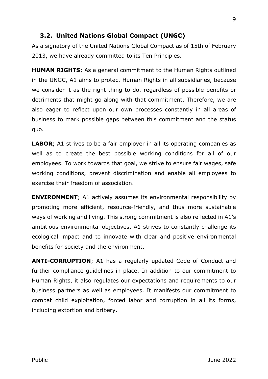#### 3.2. United Nations Global Compact (UNGC)

As a signatory of the United Nations Global Compact as of 15th of February 2013, we have already committed to its Ten Principles.

HUMAN RIGHTS; As a general commitment to the Human Rights outlined in the UNGC, A1 aims to protect Human Rights in all subsidiaries, because we consider it as the right thing to do, regardless of possible benefits or detriments that might go along with that commitment. Therefore, we are also eager to reflect upon our own processes constantly in all areas of business to mark possible gaps between this commitment and the status quo.

**LABOR**; A1 strives to be a fair employer in all its operating companies as well as to create the best possible working conditions for all of our employees. To work towards that goal, we strive to ensure fair wages, safe working conditions, prevent discrimination and enable all employees to exercise their freedom of association.

**ENVIRONMENT**; A1 actively assumes its environmental responsibility by promoting more efficient, resource-friendly, and thus more sustainable ways of working and living. This strong commitment is also reflected in A1's ambitious environmental objectives. A1 strives to constantly challenge its ecological impact and to innovate with clear and positive environmental benefits for society and the environment.

ANTI-CORRUPTION; A1 has a regularly updated Code of Conduct and further compliance guidelines in place. In addition to our commitment to Human Rights, it also regulates our expectations and requirements to our business partners as well as employees. It manifests our commitment to combat child exploitation, forced labor and corruption in all its forms, including extortion and bribery.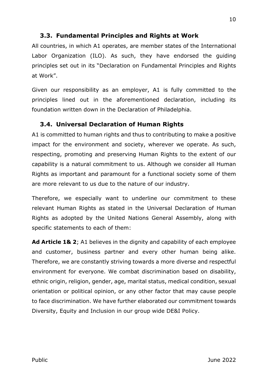# 3.3. Fundamental Principles and Rights at Work

All countries, in which A1 operates, are member states of the International Labor Organization (ILO). As such, they have endorsed the guiding principles set out in its "Declaration on Fundamental Principles and Rights at Work".

Given our responsibility as an employer, A1 is fully committed to the principles lined out in the aforementioned declaration, including its foundation written down in the Declaration of Philadelphia.

# 3.4. Universal Declaration of Human Rights

A1 is committed to human rights and thus to contributing to make a positive impact for the environment and society, wherever we operate. As such, respecting, promoting and preserving Human Rights to the extent of our capability is a natural commitment to us. Although we consider all Human Rights as important and paramount for a functional society some of them are more relevant to us due to the nature of our industry.

Therefore, we especially want to underline our commitment to these relevant Human Rights as stated in the Universal Declaration of Human Rights as adopted by the United Nations General Assembly, along with specific statements to each of them:

Ad Article 1& 2; A1 believes in the dignity and capability of each employee and customer, business partner and every other human being alike. Therefore, we are constantly striving towards a more diverse and respectful environment for everyone. We combat discrimination based on disability, ethnic origin, religion, gender, age, marital status, medical condition, sexual orientation or political opinion, or any other factor that may cause people to face discrimination. We have further elaborated our commitment towards Diversity, Equity and Inclusion in our group wide DE&I Policy.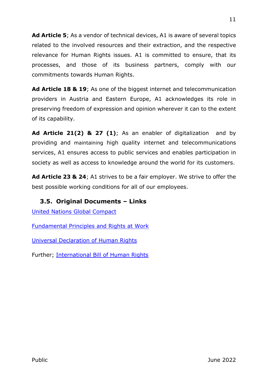Ad Article 5; As a vendor of technical devices, A1 is aware of several topics related to the involved resources and their extraction, and the respective relevance for Human Rights issues. A1 is committed to ensure, that its processes, and those of its business partners, comply with our commitments towards Human Rights.

Ad Article 18 & 19; As one of the biggest internet and telecommunication providers in Austria and Eastern Europe, A1 acknowledges its role in preserving freedom of expression and opinion wherever it can to the extent of its capability.

Ad Article 21(2) & 27 (1); As an enabler of digitalization and by providing and maintaining high quality internet and telecommunications services, A1 ensures access to public services and enables participation in society as well as access to knowledge around the world for its customers.

Ad Article 23 & 24; A1 strives to be a fair employer. We strive to offer the best possible working conditions for all of our employees.

# 3.5. Original Documents – Links

United Nations Global Compact

Fundamental Principles and Rights at Work

Universal Declaration of Human Rights

Further; International Bill of Human Rights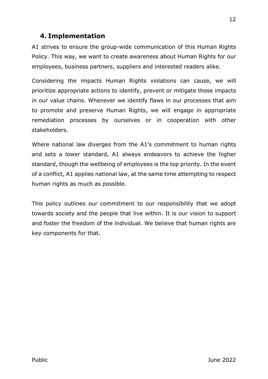# 4. Implementation

A1 strives to ensure the group-wide communication of this Human Rights Policy. This way, we want to create awareness about Human Rights for our employees, business partners, suppliers and interested readers alike.

Considering the impacts Human Rights violations can cause, we will prioritize appropriate actions to identify, prevent or mitigate those impacts in our value chains. Whenever we identify flaws in our processes that aim to promote and preserve Human Rights, we will engage in appropriate remediation processes by ourselves or in cooperation with other stakeholders.

Where national law diverges from the A1's commitment to human rights and sets a lower standard, A1 always endeavors to achieve the higher standard, though the wellbeing of employees is the top priority. In the event of a conflict, A1 applies national law, at the same time attempting to respect human rights as much as possible.

This policy outlines our commitment to our responsibility that we adopt towards society and the people that live within. It is our vision to support and foster the freedom of the individual. We believe that human rights are key components for that.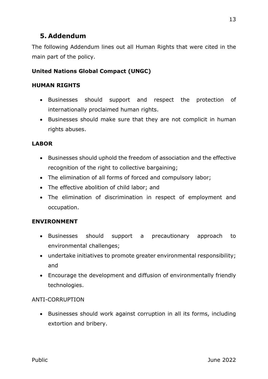# 5. Addendum

The following Addendum lines out all Human Rights that were cited in the main part of the policy.

# United Nations Global Compact (UNGC)

#### HUMAN RIGHTS

- Businesses should support and respect the protection of internationally proclaimed human rights.
- Businesses should make sure that they are not complicit in human rights abuses.

#### LABOR

- Businesses should uphold the freedom of association and the effective recognition of the right to collective bargaining;
- The elimination of all forms of forced and compulsory labor;
- The effective abolition of child labor; and
- The elimination of discrimination in respect of employment and occupation.

### ENVIRONMENT

- Businesses should support a precautionary approach to environmental challenges;
- undertake initiatives to promote greater environmental responsibility; and
- Encourage the development and diffusion of environmentally friendly technologies.

#### ANTI-CORRUPTION

• Businesses should work against corruption in all its forms, including extortion and bribery.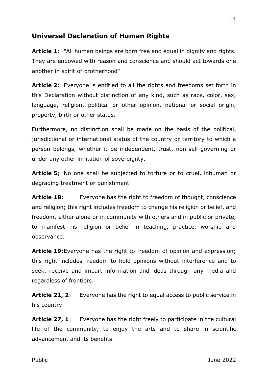# Universal Declaration of Human Rights

Article 1: "All human beings are born free and equal in dignity and rights. They are endowed with reason and conscience and should act towards one another in spirit of brotherhood"

**Article 2:** Everyone is entitled to all the rights and freedoms set forth in this Declaration without distinction of any kind, such as race, color, sex, language, religion, political or other opinion, national or social origin, property, birth or other status.

Furthermore, no distinction shall be made on the basis of the political, jurisdictional or international status of the country or territory to which a person belongs, whether it be independent, trust, non-self-governing or under any other limitation of sovereignty.

Article 5; No one shall be subjected to torture or to cruel, inhuman or degrading treatment or punishment

**Article 18;** Everyone has the right to freedom of thought, conscience and religion; this right includes freedom to change his religion or belief, and freedom, either alone or in community with others and in public or private, to manifest his religion or belief in teaching, practice, worship and observance.

Article 19; Everyone has the right to freedom of opinion and expression; this right includes freedom to hold opinions without interference and to seek, receive and impart information and ideas through any media and regardless of frontiers.

**Article 21, 2:** Everyone has the right to equal access to public service in his country.

Article 27, 1: Everyone has the right freely to participate in the cultural life of the community, to enjoy the arts and to share in scientific advancement and its benefits.